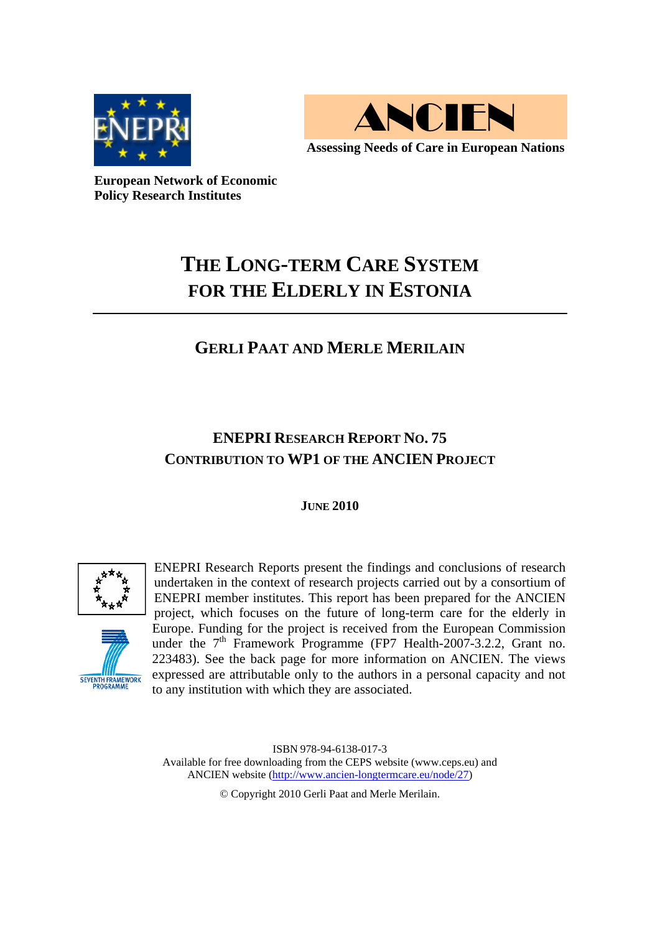



**European Network of Economic Policy Research Institutes** 

# **THE LONG-TERM CARE SYSTEM FOR THE ELDERLY IN ESTONIA**

## **GERLI PAAT AND MERLE MERILAIN**

## **ENEPRI RESEARCH REPORT NO. 75 CONTRIBUTION TO WP1 OF THE ANCIEN PROJECT**

## **JUNE 2010**



SEVENTH FRAMEWORK

ENEPRI Research Reports present the findings and conclusions of research undertaken in the context of research projects carried out by a consortium of ENEPRI member institutes. This report has been prepared for the ANCIEN project, which focuses on the future of long-term care for the elderly in Europe. Funding for the project is received from the European Commission under the 7<sup>th</sup> Framework Programme (FP7 Health-2007-3.2.2, Grant no. 223483). See the back page for more information on ANCIEN. The views expressed are attributable only to the authors in a personal capacity and not to any institution with which they are associated.

ISBN 978-94-6138-017-3 Available for free downloading from the CEPS website (www.ceps.eu) and ANCIEN website (http://www.ancien-longtermcare.eu/node/27)

© Copyright 2010 Gerli Paat and Merle Merilain.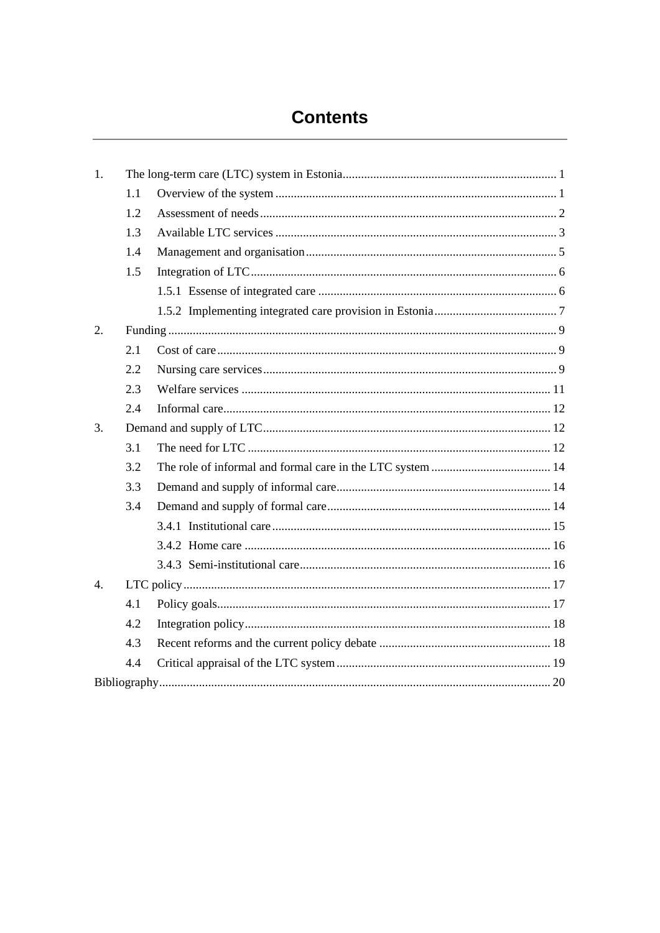## **Contents**

| 1.               |     |  |  |  |
|------------------|-----|--|--|--|
|                  | 1.1 |  |  |  |
|                  | 1.2 |  |  |  |
|                  | 1.3 |  |  |  |
|                  | 1.4 |  |  |  |
|                  | 1.5 |  |  |  |
|                  |     |  |  |  |
|                  |     |  |  |  |
| $\overline{2}$ . |     |  |  |  |
|                  | 2.1 |  |  |  |
|                  | 2.2 |  |  |  |
|                  | 2.3 |  |  |  |
|                  | 2.4 |  |  |  |
| 3.               |     |  |  |  |
|                  | 3.1 |  |  |  |
|                  | 3.2 |  |  |  |
|                  | 3.3 |  |  |  |
|                  | 3.4 |  |  |  |
|                  |     |  |  |  |
|                  |     |  |  |  |
|                  |     |  |  |  |
| $\overline{4}$ . |     |  |  |  |
|                  | 4.1 |  |  |  |
|                  | 4.2 |  |  |  |
|                  | 4.3 |  |  |  |
|                  | 4.4 |  |  |  |
|                  |     |  |  |  |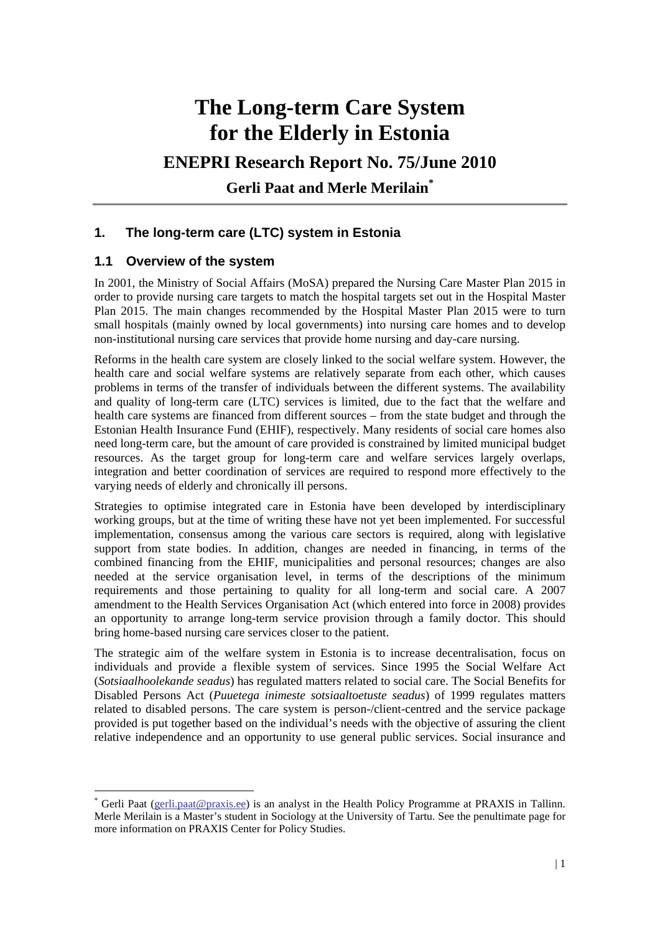# **The Long-term Care System for the Elderly in Estonia**

## **ENEPRI Research Report No. 75/June 2010**

**Gerli Paat and Merle Merilain\***

## **1. The long-term care (LTC) system in Estonia**

## **1.1 Overview of the system**

<u>.</u>

In 2001, the Ministry of Social Affairs (MoSA) prepared the Nursing Care Master Plan 2015 in order to provide nursing care targets to match the hospital targets set out in the Hospital Master Plan 2015. The main changes recommended by the Hospital Master Plan 2015 were to turn small hospitals (mainly owned by local governments) into nursing care homes and to develop non-institutional nursing care services that provide home nursing and day-care nursing.

Reforms in the health care system are closely linked to the social welfare system. However, the health care and social welfare systems are relatively separate from each other, which causes problems in terms of the transfer of individuals between the different systems. The availability and quality of long-term care (LTC) services is limited, due to the fact that the welfare and health care systems are financed from different sources – from the state budget and through the Estonian Health Insurance Fund (EHIF), respectively. Many residents of social care homes also need long-term care, but the amount of care provided is constrained by limited municipal budget resources. As the target group for long-term care and welfare services largely overlaps, integration and better coordination of services are required to respond more effectively to the varying needs of elderly and chronically ill persons.

Strategies to optimise integrated care in Estonia have been developed by interdisciplinary working groups, but at the time of writing these have not yet been implemented. For successful implementation, consensus among the various care sectors is required, along with legislative support from state bodies. In addition, changes are needed in financing, in terms of the combined financing from the EHIF, municipalities and personal resources; changes are also needed at the service organisation level, in terms of the descriptions of the minimum requirements and those pertaining to quality for all long-term and social care. A 2007 amendment to the Health Services Organisation Act (which entered into force in 2008) provides an opportunity to arrange long-term service provision through a family doctor. This should bring home-based nursing care services closer to the patient.

The strategic aim of the welfare system in Estonia is to increase decentralisation, focus on individuals and provide a flexible system of services. Since 1995 the Social Welfare Act (*Sotsiaalhoolekande seadus*) has regulated matters related to social care. The Social Benefits for Disabled Persons Act (*Puuetega inimeste sotsiaaltoetuste seadus*) of 1999 regulates matters related to disabled persons. The care system is person-/client-centred and the service package provided is put together based on the individual's needs with the objective of assuring the client relative independence and an opportunity to use general public services. Social insurance and

<sup>\*</sup> Gerli Paat (gerli.paat@praxis.ee) is an analyst in the Health Policy Programme at PRAXIS in Tallinn. Merle Merilain is a Master's student in Sociology at the University of Tartu. See the penultimate page for more information on PRAXIS Center for Policy Studies.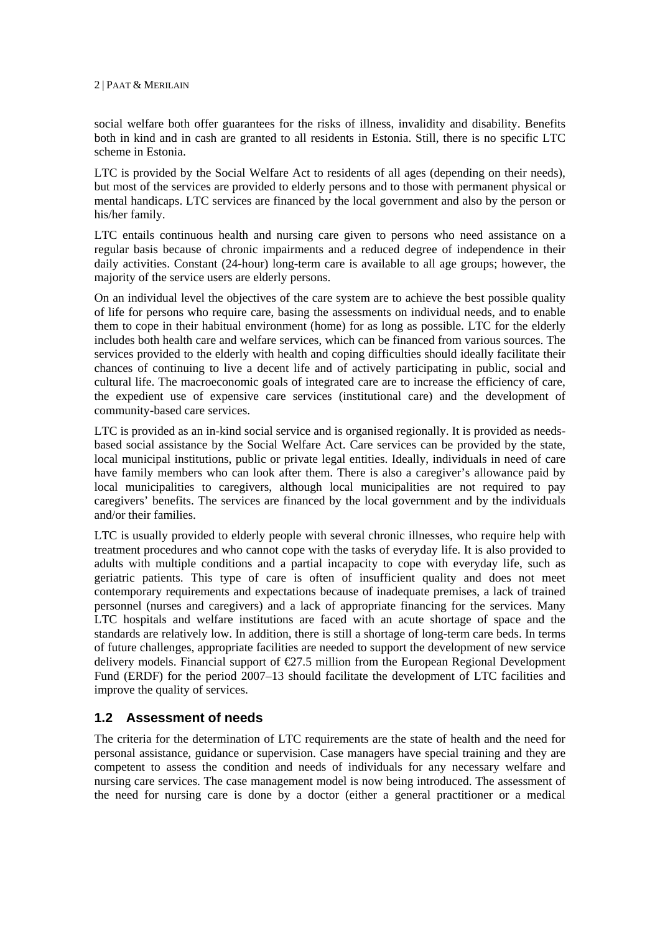social welfare both offer guarantees for the risks of illness, invalidity and disability. Benefits both in kind and in cash are granted to all residents in Estonia. Still, there is no specific LTC scheme in Estonia.

LTC is provided by the Social Welfare Act to residents of all ages (depending on their needs), but most of the services are provided to elderly persons and to those with permanent physical or mental handicaps. LTC services are financed by the local government and also by the person or his/her family.

LTC entails continuous health and nursing care given to persons who need assistance on a regular basis because of chronic impairments and a reduced degree of independence in their daily activities. Constant (24-hour) long-term care is available to all age groups; however, the majority of the service users are elderly persons.

On an individual level the objectives of the care system are to achieve the best possible quality of life for persons who require care, basing the assessments on individual needs, and to enable them to cope in their habitual environment (home) for as long as possible. LTC for the elderly includes both health care and welfare services, which can be financed from various sources. The services provided to the elderly with health and coping difficulties should ideally facilitate their chances of continuing to live a decent life and of actively participating in public, social and cultural life. The macroeconomic goals of integrated care are to increase the efficiency of care, the expedient use of expensive care services (institutional care) and the development of community-based care services.

LTC is provided as an in-kind social service and is organised regionally. It is provided as needsbased social assistance by the Social Welfare Act. Care services can be provided by the state, local municipal institutions, public or private legal entities. Ideally, individuals in need of care have family members who can look after them. There is also a caregiver's allowance paid by local municipalities to caregivers, although local municipalities are not required to pay caregivers' benefits. The services are financed by the local government and by the individuals and/or their families.

LTC is usually provided to elderly people with several chronic illnesses, who require help with treatment procedures and who cannot cope with the tasks of everyday life. It is also provided to adults with multiple conditions and a partial incapacity to cope with everyday life, such as geriatric patients. This type of care is often of insufficient quality and does not meet contemporary requirements and expectations because of inadequate premises, a lack of trained personnel (nurses and caregivers) and a lack of appropriate financing for the services. Many LTC hospitals and welfare institutions are faced with an acute shortage of space and the standards are relatively low. In addition, there is still a shortage of long-term care beds. In terms of future challenges, appropriate facilities are needed to support the development of new service delivery models. Financial support of  $\epsilon$ 27.5 million from the European Regional Development Fund (ERDF) for the period 2007–13 should facilitate the development of LTC facilities and improve the quality of services.

#### **1.2 Assessment of needs**

The criteria for the determination of LTC requirements are the state of health and the need for personal assistance, guidance or supervision. Case managers have special training and they are competent to assess the condition and needs of individuals for any necessary welfare and nursing care services. The case management model is now being introduced. The assessment of the need for nursing care is done by a doctor (either a general practitioner or a medical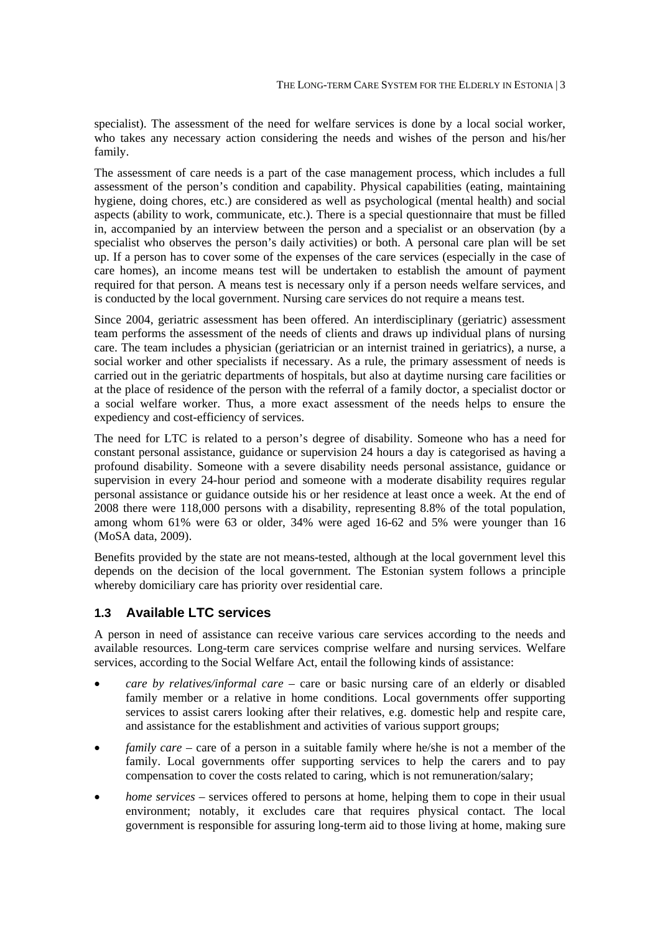specialist). The assessment of the need for welfare services is done by a local social worker, who takes any necessary action considering the needs and wishes of the person and his/her family.

The assessment of care needs is a part of the case management process, which includes a full assessment of the person's condition and capability. Physical capabilities (eating, maintaining hygiene, doing chores, etc.) are considered as well as psychological (mental health) and social aspects (ability to work, communicate, etc.). There is a special questionnaire that must be filled in, accompanied by an interview between the person and a specialist or an observation (by a specialist who observes the person's daily activities) or both. A personal care plan will be set up. If a person has to cover some of the expenses of the care services (especially in the case of care homes), an income means test will be undertaken to establish the amount of payment required for that person. A means test is necessary only if a person needs welfare services, and is conducted by the local government. Nursing care services do not require a means test.

Since 2004, geriatric assessment has been offered. An interdisciplinary (geriatric) assessment team performs the assessment of the needs of clients and draws up individual plans of nursing care. The team includes a physician (geriatrician or an internist trained in geriatrics), a nurse, a social worker and other specialists if necessary. As a rule, the primary assessment of needs is carried out in the geriatric departments of hospitals, but also at daytime nursing care facilities or at the place of residence of the person with the referral of a family doctor, a specialist doctor or a social welfare worker. Thus, a more exact assessment of the needs helps to ensure the expediency and cost-efficiency of services.

The need for LTC is related to a person's degree of disability. Someone who has a need for constant personal assistance, guidance or supervision 24 hours a day is categorised as having a profound disability. Someone with a severe disability needs personal assistance, guidance or supervision in every 24-hour period and someone with a moderate disability requires regular personal assistance or guidance outside his or her residence at least once a week. At the end of 2008 there were 118,000 persons with a disability, representing 8.8% of the total population, among whom 61% were 63 or older, 34% were aged 16-62 and 5% were younger than 16 (MoSA data, 2009).

Benefits provided by the state are not means-tested, although at the local government level this depends on the decision of the local government. The Estonian system follows a principle whereby domiciliary care has priority over residential care.

## **1.3 Available LTC services**

A person in need of assistance can receive various care services according to the needs and available resources. Long-term care services comprise welfare and nursing services. Welfare services, according to the Social Welfare Act, entail the following kinds of assistance:

- *care by relatives/informal care –* care or basic nursing care of an elderly or disabled family member or a relative in home conditions. Local governments offer supporting services to assist carers looking after their relatives, e.g. domestic help and respite care, and assistance for the establishment and activities of various support groups;
- *family care* care of a person in a suitable family where he/she is not a member of the family. Local governments offer supporting services to help the carers and to pay compensation to cover the costs related to caring, which is not remuneration/salary;
- *home services* services offered to persons at home, helping them to cope in their usual environment; notably, it excludes care that requires physical contact. The local government is responsible for assuring long-term aid to those living at home, making sure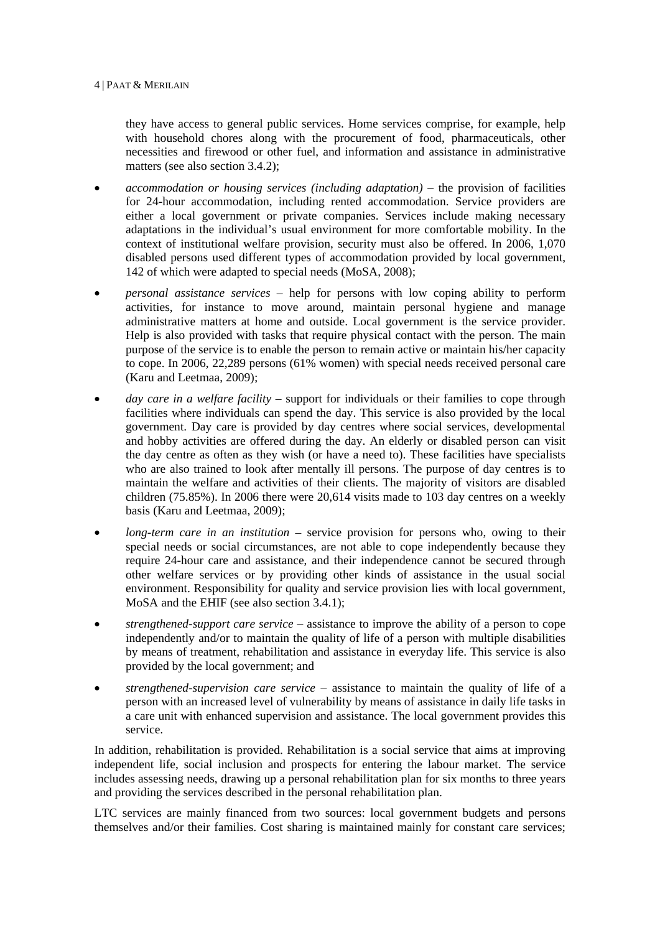they have access to general public services. Home services comprise, for example, help with household chores along with the procurement of food, pharmaceuticals, other necessities and firewood or other fuel, and information and assistance in administrative matters (see also section 3.4.2);

- *accommodation or housing services (including adaptation)* the provision of facilities for 24-hour accommodation, including rented accommodation. Service providers are either a local government or private companies. Services include making necessary adaptations in the individual's usual environment for more comfortable mobility. In the context of institutional welfare provision, security must also be offered. In 2006, 1,070 disabled persons used different types of accommodation provided by local government, 142 of which were adapted to special needs (MoSA, 2008);
- *personal assistance services* help for persons with low coping ability to perform activities, for instance to move around, maintain personal hygiene and manage administrative matters at home and outside. Local government is the service provider. Help is also provided with tasks that require physical contact with the person. The main purpose of the service is to enable the person to remain active or maintain his/her capacity to cope. In 2006, 22,289 persons (61% women) with special needs received personal care (Karu and Leetmaa, 2009);
- *day care in a welfare facility* support for individuals or their families to cope through facilities where individuals can spend the day. This service is also provided by the local government. Day care is provided by day centres where social services, developmental and hobby activities are offered during the day. An elderly or disabled person can visit the day centre as often as they wish (or have a need to). These facilities have specialists who are also trained to look after mentally ill persons. The purpose of day centres is to maintain the welfare and activities of their clients. The majority of visitors are disabled children (75.85%). In 2006 there were 20,614 visits made to 103 day centres on a weekly basis (Karu and Leetmaa, 2009);
- *long-term care in an institution* service provision for persons who, owing to their special needs or social circumstances, are not able to cope independently because they require 24-hour care and assistance, and their independence cannot be secured through other welfare services or by providing other kinds of assistance in the usual social environment. Responsibility for quality and service provision lies with local government, MoSA and the EHIF (see also section 3.4.1);
- *strengthened-support care service* assistance to improve the ability of a person to cope independently and/or to maintain the quality of life of a person with multiple disabilities by means of treatment, rehabilitation and assistance in everyday life. This service is also provided by the local government; and
- *strengthened-supervision care service* assistance to maintain the quality of life of a person with an increased level of vulnerability by means of assistance in daily life tasks in a care unit with enhanced supervision and assistance. The local government provides this service.

In addition, rehabilitation is provided. Rehabilitation is a social service that aims at improving independent life, social inclusion and prospects for entering the labour market. The service includes assessing needs, drawing up a personal rehabilitation plan for six months to three years and providing the services described in the personal rehabilitation plan.

LTC services are mainly financed from two sources: local government budgets and persons themselves and/or their families. Cost sharing is maintained mainly for constant care services;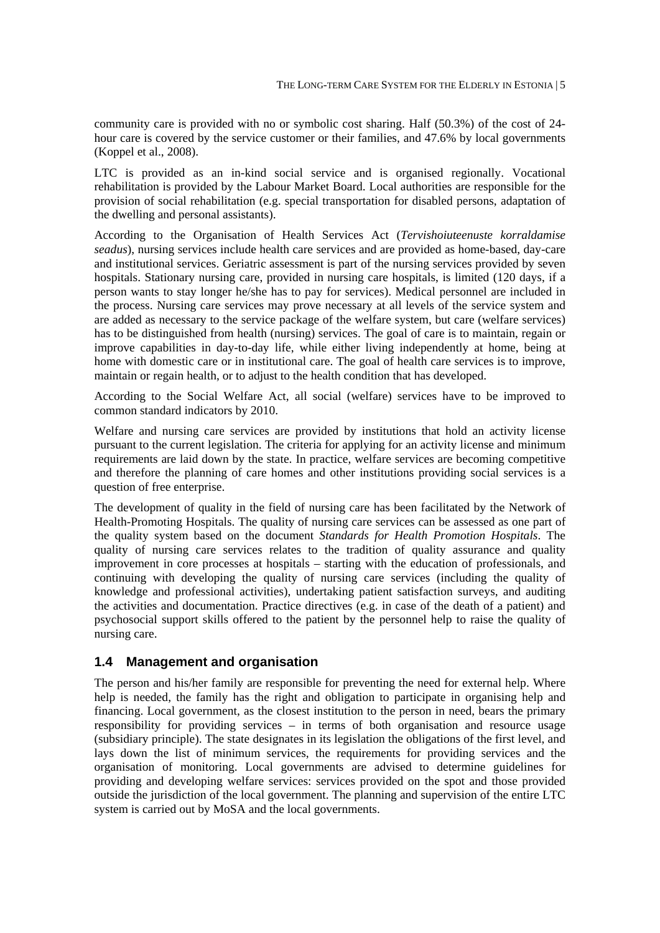community care is provided with no or symbolic cost sharing. Half (50.3%) of the cost of 24 hour care is covered by the service customer or their families, and 47.6% by local governments (Koppel et al., 2008).

LTC is provided as an in-kind social service and is organised regionally. Vocational rehabilitation is provided by the Labour Market Board. Local authorities are responsible for the provision of social rehabilitation (e.g. special transportation for disabled persons, adaptation of the dwelling and personal assistants).

According to the Organisation of Health Services Act (*Tervishoiuteenuste korraldamise seadus*), nursing services include health care services and are provided as home-based, day-care and institutional services. Geriatric assessment is part of the nursing services provided by seven hospitals. Stationary nursing care, provided in nursing care hospitals, is limited (120 days, if a person wants to stay longer he/she has to pay for services). Medical personnel are included in the process. Nursing care services may prove necessary at all levels of the service system and are added as necessary to the service package of the welfare system, but care (welfare services) has to be distinguished from health (nursing) services. The goal of care is to maintain, regain or improve capabilities in day-to-day life, while either living independently at home, being at home with domestic care or in institutional care. The goal of health care services is to improve, maintain or regain health, or to adjust to the health condition that has developed.

According to the Social Welfare Act, all social (welfare) services have to be improved to common standard indicators by 2010.

Welfare and nursing care services are provided by institutions that hold an activity license pursuant to the current legislation. The criteria for applying for an activity license and minimum requirements are laid down by the state. In practice, welfare services are becoming competitive and therefore the planning of care homes and other institutions providing social services is a question of free enterprise.

The development of quality in the field of nursing care has been facilitated by the Network of Health-Promoting Hospitals. The quality of nursing care services can be assessed as one part of the quality system based on the document *Standards for Health Promotion Hospitals*. The quality of nursing care services relates to the tradition of quality assurance and quality improvement in core processes at hospitals – starting with the education of professionals, and continuing with developing the quality of nursing care services (including the quality of knowledge and professional activities), undertaking patient satisfaction surveys, and auditing the activities and documentation. Practice directives (e.g. in case of the death of a patient) and psychosocial support skills offered to the patient by the personnel help to raise the quality of nursing care.

#### **1.4 Management and organisation**

The person and his/her family are responsible for preventing the need for external help. Where help is needed, the family has the right and obligation to participate in organising help and financing. Local government, as the closest institution to the person in need, bears the primary responsibility for providing services – in terms of both organisation and resource usage (subsidiary principle). The state designates in its legislation the obligations of the first level, and lays down the list of minimum services, the requirements for providing services and the organisation of monitoring. Local governments are advised to determine guidelines for providing and developing welfare services: services provided on the spot and those provided outside the jurisdiction of the local government. The planning and supervision of the entire LTC system is carried out by MoSA and the local governments.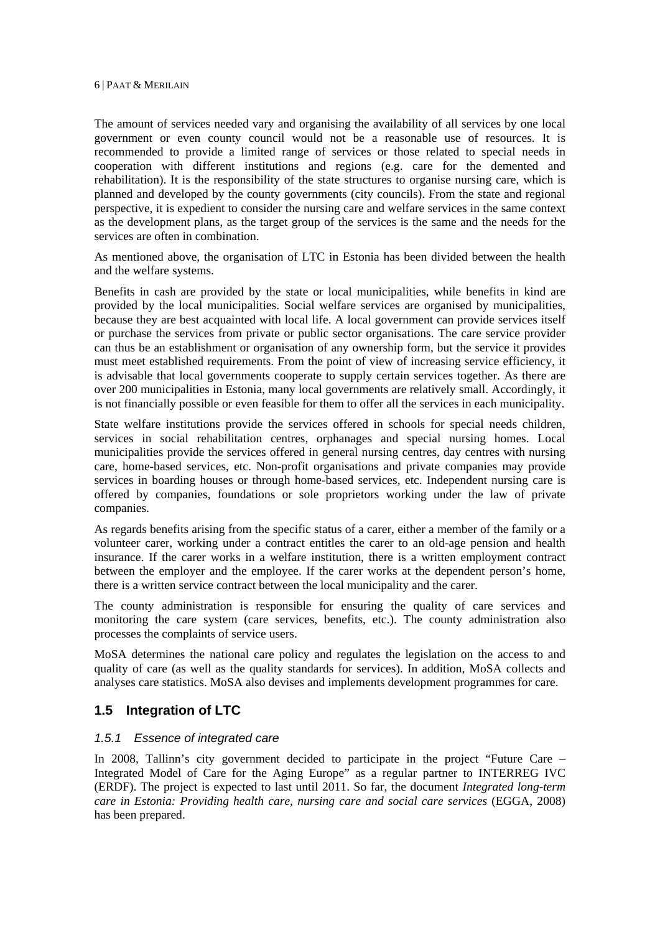The amount of services needed vary and organising the availability of all services by one local government or even county council would not be a reasonable use of resources. It is recommended to provide a limited range of services or those related to special needs in cooperation with different institutions and regions (e.g. care for the demented and rehabilitation). It is the responsibility of the state structures to organise nursing care, which is planned and developed by the county governments (city councils). From the state and regional perspective, it is expedient to consider the nursing care and welfare services in the same context as the development plans, as the target group of the services is the same and the needs for the services are often in combination.

As mentioned above, the organisation of LTC in Estonia has been divided between the health and the welfare systems.

Benefits in cash are provided by the state or local municipalities, while benefits in kind are provided by the local municipalities. Social welfare services are organised by municipalities, because they are best acquainted with local life. A local government can provide services itself or purchase the services from private or public sector organisations. The care service provider can thus be an establishment or organisation of any ownership form, but the service it provides must meet established requirements. From the point of view of increasing service efficiency, it is advisable that local governments cooperate to supply certain services together. As there are over 200 municipalities in Estonia, many local governments are relatively small. Accordingly, it is not financially possible or even feasible for them to offer all the services in each municipality.

State welfare institutions provide the services offered in schools for special needs children, services in social rehabilitation centres, orphanages and special nursing homes. Local municipalities provide the services offered in general nursing centres, day centres with nursing care, home-based services, etc. Non-profit organisations and private companies may provide services in boarding houses or through home-based services, etc. Independent nursing care is offered by companies, foundations or sole proprietors working under the law of private companies.

As regards benefits arising from the specific status of a carer, either a member of the family or a volunteer carer, working under a contract entitles the carer to an old-age pension and health insurance. If the carer works in a welfare institution, there is a written employment contract between the employer and the employee. If the carer works at the dependent person's home, there is a written service contract between the local municipality and the carer.

The county administration is responsible for ensuring the quality of care services and monitoring the care system (care services, benefits, etc.). The county administration also processes the complaints of service users.

MoSA determines the national care policy and regulates the legislation on the access to and quality of care (as well as the quality standards for services). In addition, MoSA collects and analyses care statistics. MoSA also devises and implements development programmes for care.

## **1.5 Integration of LTC**

#### *1.5.1 Essence of integrated care*

In 2008. Tallinn's city government decided to participate in the project "Future Care – Integrated Model of Care for the Aging Europe" as a regular partner to INTERREG IVC (ERDF). The project is expected to last until 2011. So far, the document *Integrated long-term care in Estonia: Providing health care, nursing care and social care services* (EGGA, 2008) has been prepared.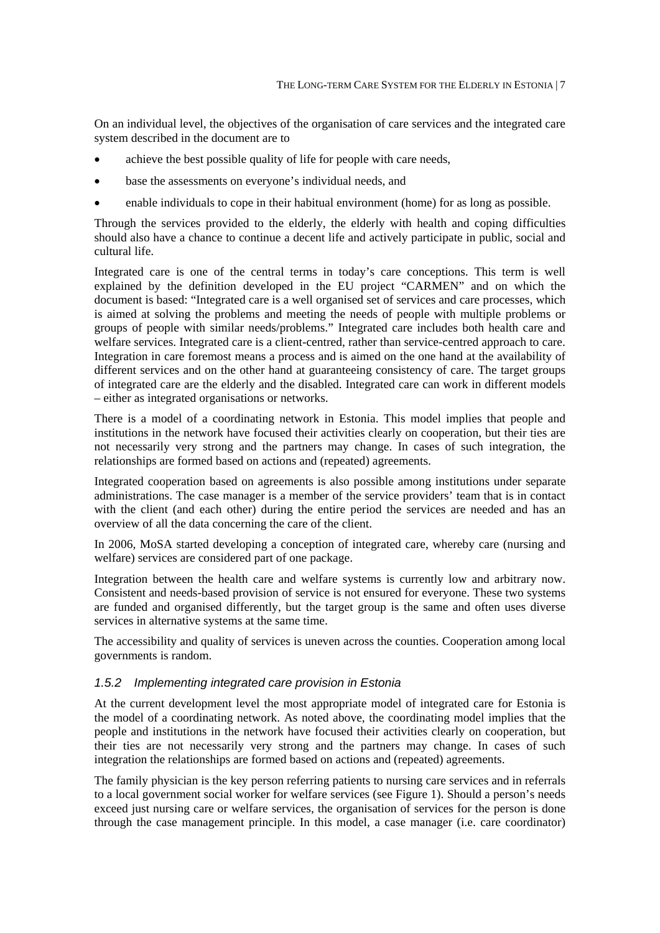On an individual level, the objectives of the organisation of care services and the integrated care system described in the document are to

- achieve the best possible quality of life for people with care needs,
- base the assessments on everyone's individual needs, and
- enable individuals to cope in their habitual environment (home) for as long as possible.

Through the services provided to the elderly, the elderly with health and coping difficulties should also have a chance to continue a decent life and actively participate in public, social and cultural life.

Integrated care is one of the central terms in today's care conceptions. This term is well explained by the definition developed in the EU project "CARMEN" and on which the document is based: "Integrated care is a well organised set of services and care processes, which is aimed at solving the problems and meeting the needs of people with multiple problems or groups of people with similar needs/problems." Integrated care includes both health care and welfare services. Integrated care is a client-centred, rather than service-centred approach to care. Integration in care foremost means a process and is aimed on the one hand at the availability of different services and on the other hand at guaranteeing consistency of care. The target groups of integrated care are the elderly and the disabled. Integrated care can work in different models – either as integrated organisations or networks.

There is a model of a coordinating network in Estonia. This model implies that people and institutions in the network have focused their activities clearly on cooperation, but their ties are not necessarily very strong and the partners may change. In cases of such integration, the relationships are formed based on actions and (repeated) agreements.

Integrated cooperation based on agreements is also possible among institutions under separate administrations. The case manager is a member of the service providers' team that is in contact with the client (and each other) during the entire period the services are needed and has an overview of all the data concerning the care of the client.

In 2006, MoSA started developing a conception of integrated care, whereby care (nursing and welfare) services are considered part of one package.

Integration between the health care and welfare systems is currently low and arbitrary now. Consistent and needs-based provision of service is not ensured for everyone. These two systems are funded and organised differently, but the target group is the same and often uses diverse services in alternative systems at the same time.

The accessibility and quality of services is uneven across the counties. Cooperation among local governments is random.

#### *1.5.2 Implementing integrated care provision in Estonia*

At the current development level the most appropriate model of integrated care for Estonia is the model of a coordinating network. As noted above, the coordinating model implies that the people and institutions in the network have focused their activities clearly on cooperation, but their ties are not necessarily very strong and the partners may change. In cases of such integration the relationships are formed based on actions and (repeated) agreements.

The family physician is the key person referring patients to nursing care services and in referrals to a local government social worker for welfare services (see Figure 1). Should a person's needs exceed just nursing care or welfare services, the organisation of services for the person is done through the case management principle. In this model, a case manager (i.e. care coordinator)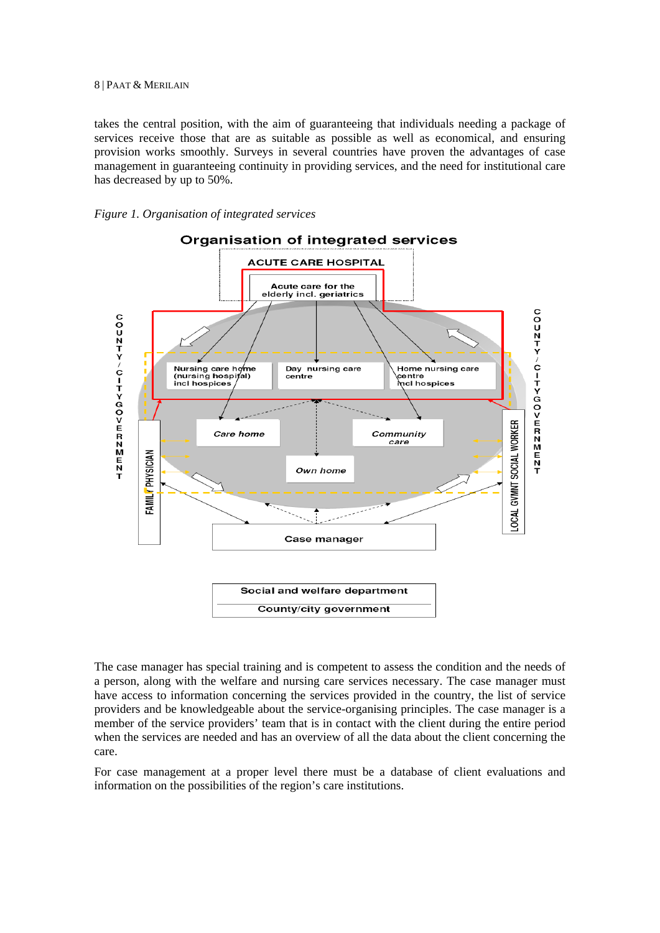takes the central position, with the aim of guaranteeing that individuals needing a package of services receive those that are as suitable as possible as well as economical, and ensuring provision works smoothly. Surveys in several countries have proven the advantages of case management in guaranteeing continuity in providing services, and the need for institutional care has decreased by up to 50%.





The case manager has special training and is competent to assess the condition and the needs of a person, along with the welfare and nursing care services necessary. The case manager must have access to information concerning the services provided in the country, the list of service providers and be knowledgeable about the service-organising principles. The case manager is a member of the service providers' team that is in contact with the client during the entire period when the services are needed and has an overview of all the data about the client concerning the care.

For case management at a proper level there must be a database of client evaluations and information on the possibilities of the region's care institutions.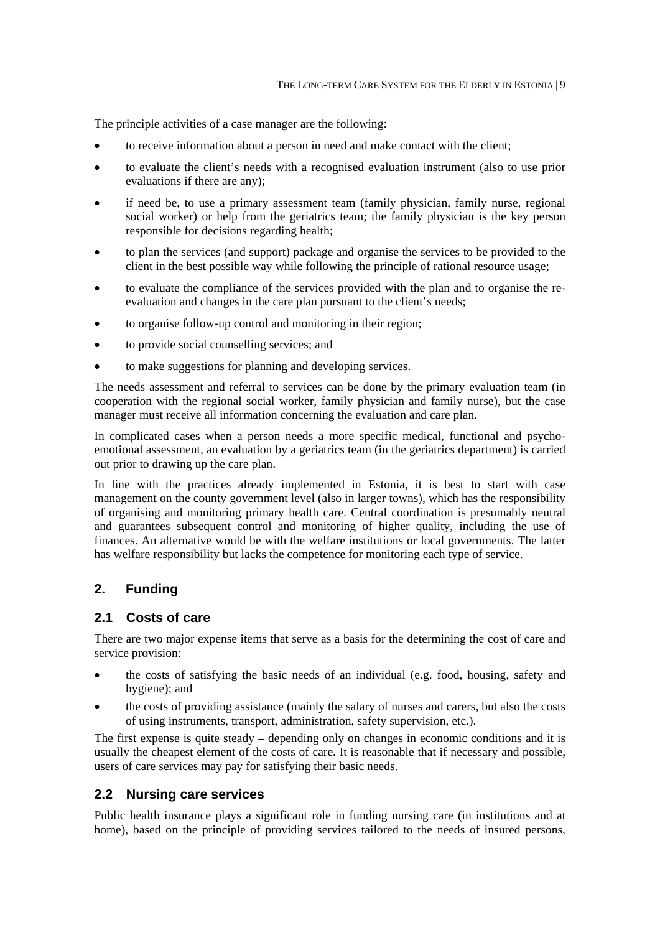The principle activities of a case manager are the following:

- to receive information about a person in need and make contact with the client;
- to evaluate the client's needs with a recognised evaluation instrument (also to use prior evaluations if there are any);
- if need be, to use a primary assessment team (family physician, family nurse, regional social worker) or help from the geriatrics team; the family physician is the key person responsible for decisions regarding health;
- to plan the services (and support) package and organise the services to be provided to the client in the best possible way while following the principle of rational resource usage;
- to evaluate the compliance of the services provided with the plan and to organise the reevaluation and changes in the care plan pursuant to the client's needs;
- to organise follow-up control and monitoring in their region;
- to provide social counselling services; and
- to make suggestions for planning and developing services.

The needs assessment and referral to services can be done by the primary evaluation team (in cooperation with the regional social worker, family physician and family nurse), but the case manager must receive all information concerning the evaluation and care plan.

In complicated cases when a person needs a more specific medical, functional and psychoemotional assessment, an evaluation by a geriatrics team (in the geriatrics department) is carried out prior to drawing up the care plan.

In line with the practices already implemented in Estonia, it is best to start with case management on the county government level (also in larger towns), which has the responsibility of organising and monitoring primary health care. Central coordination is presumably neutral and guarantees subsequent control and monitoring of higher quality, including the use of finances. An alternative would be with the welfare institutions or local governments. The latter has welfare responsibility but lacks the competence for monitoring each type of service.

## **2. Funding**

#### **2.1 Costs of care**

There are two major expense items that serve as a basis for the determining the cost of care and service provision:

- the costs of satisfying the basic needs of an individual (e.g. food, housing, safety and hygiene); and
- the costs of providing assistance (mainly the salary of nurses and carers, but also the costs of using instruments, transport, administration, safety supervision, etc.).

The first expense is quite steady – depending only on changes in economic conditions and it is usually the cheapest element of the costs of care. It is reasonable that if necessary and possible, users of care services may pay for satisfying their basic needs.

#### **2.2 Nursing care services**

Public health insurance plays a significant role in funding nursing care (in institutions and at home), based on the principle of providing services tailored to the needs of insured persons,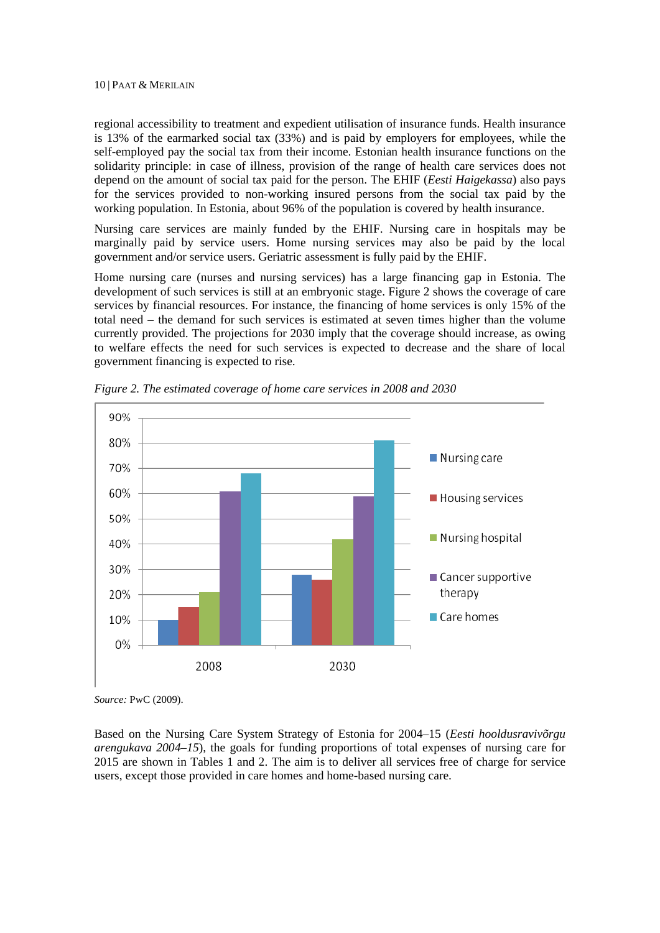regional accessibility to treatment and expedient utilisation of insurance funds. Health insurance is 13% of the earmarked social tax (33%) and is paid by employers for employees, while the self-employed pay the social tax from their income. Estonian health insurance functions on the solidarity principle: in case of illness, provision of the range of health care services does not depend on the amount of social tax paid for the person. The EHIF (*Eesti Haigekassa*) also pays for the services provided to non-working insured persons from the social tax paid by the working population. In Estonia, about 96% of the population is covered by health insurance.

Nursing care services are mainly funded by the EHIF. Nursing care in hospitals may be marginally paid by service users. Home nursing services may also be paid by the local government and/or service users. Geriatric assessment is fully paid by the EHIF.

Home nursing care (nurses and nursing services) has a large financing gap in Estonia. The development of such services is still at an embryonic stage. Figure 2 shows the coverage of care services by financial resources. For instance, the financing of home services is only 15% of the total need – the demand for such services is estimated at seven times higher than the volume currently provided. The projections for 2030 imply that the coverage should increase, as owing to welfare effects the need for such services is expected to decrease and the share of local government financing is expected to rise.



*Figure 2. The estimated coverage of home care services in 2008 and 2030* 

*Source:* PwC (2009).

Based on the Nursing Care System Strategy of Estonia for 2004–15 (*Eesti hooldusravivõrgu arengukava 2004–15*), the goals for funding proportions of total expenses of nursing care for 2015 are shown in Tables 1 and 2. The aim is to deliver all services free of charge for service users, except those provided in care homes and home-based nursing care.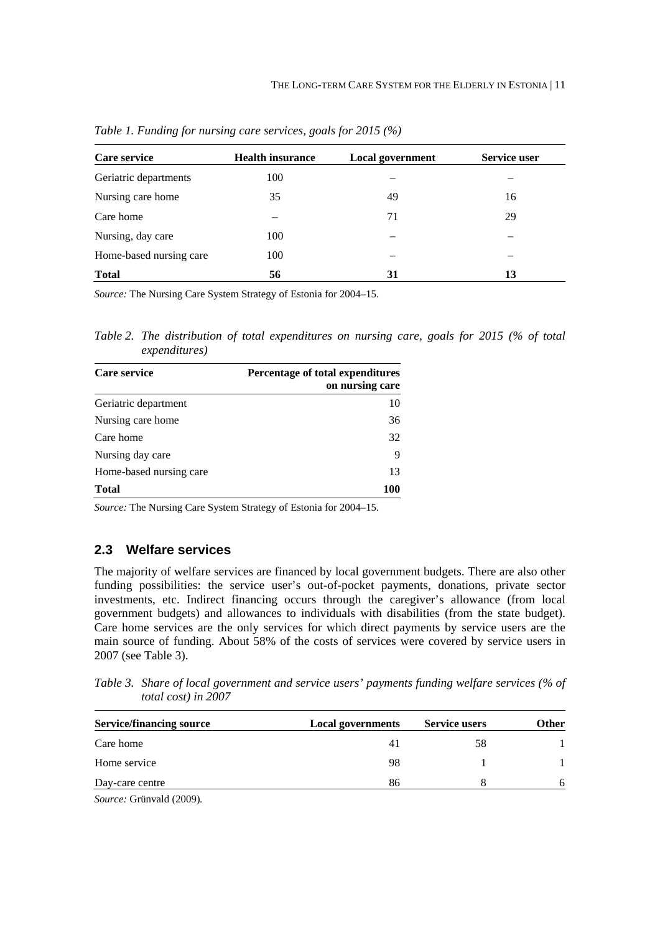| Care service            | <b>Health insurance</b> | <b>Local government</b> | Service user |
|-------------------------|-------------------------|-------------------------|--------------|
| Geriatric departments   | 100                     |                         |              |
| Nursing care home       | 35                      | 49                      | 16           |
| Care home               |                         | 71                      | 29           |
| Nursing, day care       | 100                     |                         |              |
| Home-based nursing care | 100                     |                         |              |
| <b>Total</b>            | 56                      | 31                      | 13           |

*Table 1. Funding for nursing care services, goals for 2015 (%)* 

*Source:* The Nursing Care System Strategy of Estonia for 2004–15.

*Table 2. The distribution of total expenditures on nursing care, goals for 2015 (% of total expenditures)* 

| Care service            | Percentage of total expenditures<br>on nursing care |
|-------------------------|-----------------------------------------------------|
| Geriatric department    | 10                                                  |
| Nursing care home       | 36                                                  |
| Care home               | 32                                                  |
| Nursing day care        | 9                                                   |
| Home-based nursing care | 13                                                  |
| <b>Total</b>            | 100                                                 |

*Source:* The Nursing Care System Strategy of Estonia for 2004–15.

#### **2.3 Welfare services**

The majority of welfare services are financed by local government budgets. There are also other funding possibilities: the service user's out-of-pocket payments, donations, private sector investments, etc. Indirect financing occurs through the caregiver's allowance (from local government budgets) and allowances to individuals with disabilities (from the state budget). Care home services are the only services for which direct payments by service users are the main source of funding. About 58% of the costs of services were covered by service users in 2007 (see Table 3).

*Table 3. Share of local government and service users' payments funding welfare services (% of total cost) in 2007* 

| <b>Service/financing source</b> | <b>Local governments</b> | <b>Service users</b> | Other |  |
|---------------------------------|--------------------------|----------------------|-------|--|
| Care home                       |                          | 58                   |       |  |
| Home service                    | 98                       |                      |       |  |
| Day-care centre                 | 86                       |                      | 6     |  |
|                                 |                          |                      |       |  |

*Source:* Grünvald (2009)*.*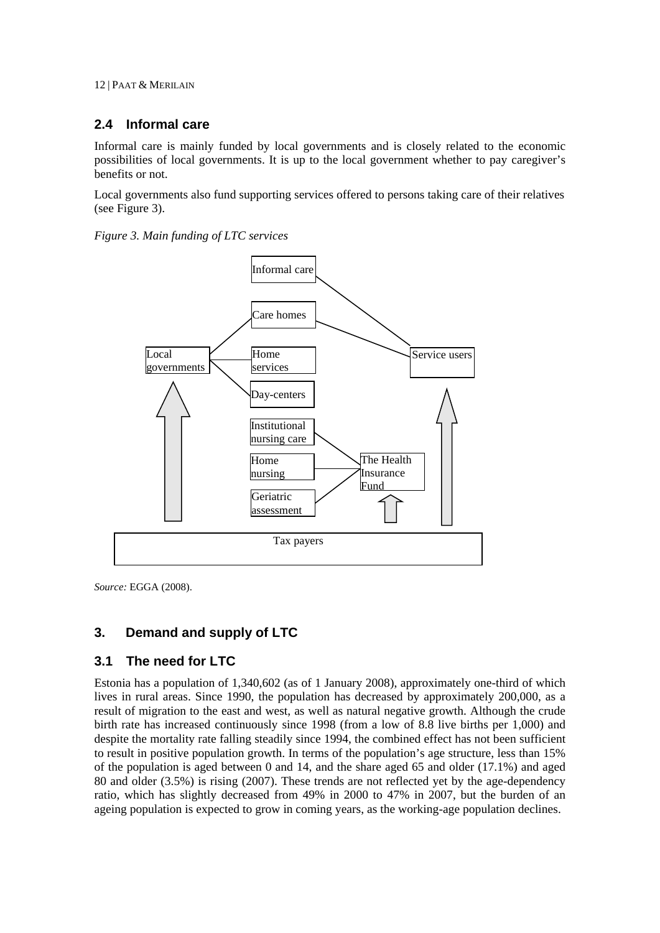## **2.4 Informal care**

Informal care is mainly funded by local governments and is closely related to the economic possibilities of local governments. It is up to the local government whether to pay caregiver's benefits or not.

Local governments also fund supporting services offered to persons taking care of their relatives (see Figure 3).

*Figure 3. Main funding of LTC services* 



*Source:* EGGA (2008).

## **3. Demand and supply of LTC**

## **3.1 The need for LTC**

Estonia has a population of 1,340,602 (as of 1 January 2008), approximately one-third of which lives in rural areas. Since 1990, the population has decreased by approximately 200,000, as a result of migration to the east and west, as well as natural negative growth. Although the crude birth rate has increased continuously since 1998 (from a low of 8.8 live births per 1,000) and despite the mortality rate falling steadily since 1994, the combined effect has not been sufficient to result in positive population growth. In terms of the population's age structure, less than 15% of the population is aged between 0 and 14, and the share aged 65 and older (17.1%) and aged 80 and older (3.5%) is rising (2007). These trends are not reflected yet by the age-dependency ratio, which has slightly decreased from 49% in 2000 to 47% in 2007, but the burden of an ageing population is expected to grow in coming years, as the working-age population declines.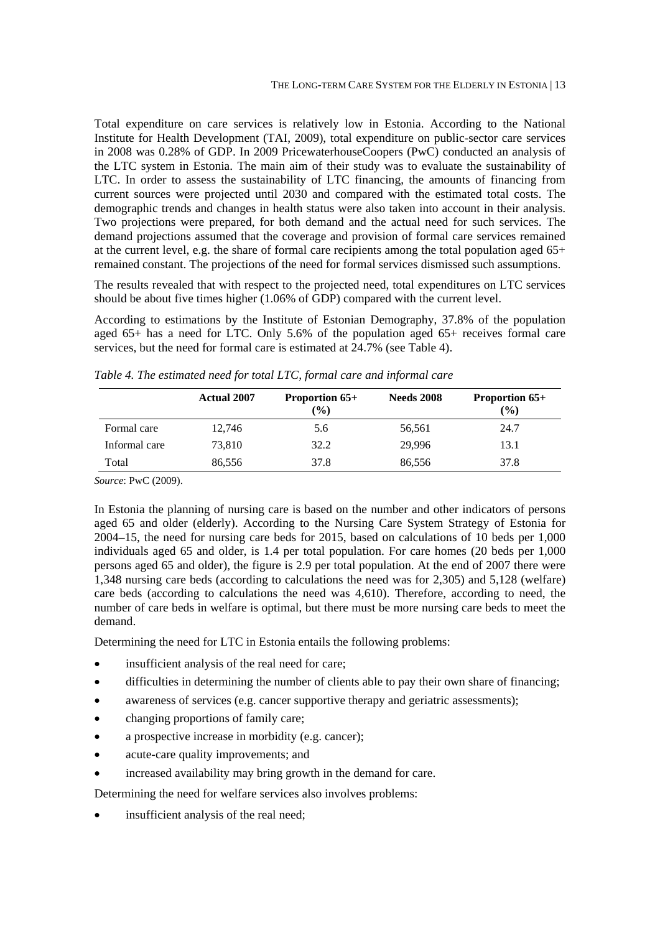Total expenditure on care services is relatively low in Estonia. According to the National Institute for Health Development (TAI, 2009), total expenditure on public-sector care services in 2008 was 0.28% of GDP. In 2009 PricewaterhouseCoopers (PwC) conducted an analysis of the LTC system in Estonia. The main aim of their study was to evaluate the sustainability of LTC. In order to assess the sustainability of LTC financing, the amounts of financing from current sources were projected until 2030 and compared with the estimated total costs. The demographic trends and changes in health status were also taken into account in their analysis. Two projections were prepared, for both demand and the actual need for such services. The demand projections assumed that the coverage and provision of formal care services remained at the current level, e.g. the share of formal care recipients among the total population aged 65+ remained constant. The projections of the need for formal services dismissed such assumptions.

The results revealed that with respect to the projected need, total expenditures on LTC services should be about five times higher (1.06% of GDP) compared with the current level.

According to estimations by the Institute of Estonian Demography, 37.8% of the population aged 65+ has a need for LTC. Only 5.6% of the population aged 65+ receives formal care services, but the need for formal care is estimated at 24.7% (see Table 4).

|               | <b>Actual 2007</b> | <b>Proportion 65+</b><br>$(\%)$ | <b>Needs 2008</b> | <b>Proportion 65+</b><br>(%) |
|---------------|--------------------|---------------------------------|-------------------|------------------------------|
| Formal care   | 12.746             | 5.6                             | 56,561            | 24.7                         |
| Informal care | 73,810             | 32.2                            | 29.996            | 13.1                         |
| Total         | 86,556             | 37.8                            | 86,556            | 37.8                         |

*Table 4. The estimated need for total LTC, formal care and informal care* 

*Source*: PwC (2009).

In Estonia the planning of nursing care is based on the number and other indicators of persons aged 65 and older (elderly). According to the Nursing Care System Strategy of Estonia for 2004–15, the need for nursing care beds for 2015, based on calculations of 10 beds per 1,000 individuals aged 65 and older, is 1.4 per total population. For care homes (20 beds per 1,000 persons aged 65 and older), the figure is 2.9 per total population. At the end of 2007 there were 1,348 nursing care beds (according to calculations the need was for 2,305) and 5,128 (welfare) care beds (according to calculations the need was 4,610). Therefore, according to need, the number of care beds in welfare is optimal, but there must be more nursing care beds to meet the demand.

Determining the need for LTC in Estonia entails the following problems:

- insufficient analysis of the real need for care;
- difficulties in determining the number of clients able to pay their own share of financing;
- awareness of services (e.g. cancer supportive therapy and geriatric assessments);
- changing proportions of family care;
- a prospective increase in morbidity (e.g. cancer);
- acute-care quality improvements; and
- increased availability may bring growth in the demand for care.

Determining the need for welfare services also involves problems:

insufficient analysis of the real need;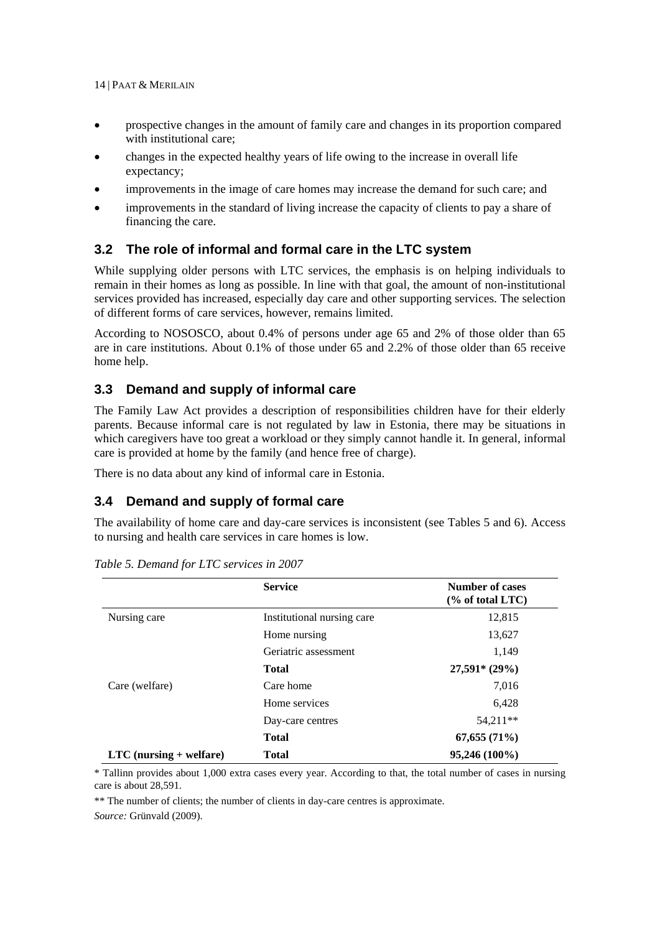- prospective changes in the amount of family care and changes in its proportion compared with institutional care;
- changes in the expected healthy years of life owing to the increase in overall life expectancy;
- improvements in the image of care homes may increase the demand for such care; and
- improvements in the standard of living increase the capacity of clients to pay a share of financing the care.

## **3.2 The role of informal and formal care in the LTC system**

While supplying older persons with LTC services, the emphasis is on helping individuals to remain in their homes as long as possible. In line with that goal, the amount of non-institutional services provided has increased, especially day care and other supporting services. The selection of different forms of care services, however, remains limited.

According to NOSOSCO, about 0.4% of persons under age 65 and 2% of those older than 65 are in care institutions. About 0.1% of those under 65 and 2.2% of those older than 65 receive home help.

## **3.3 Demand and supply of informal care**

The Family Law Act provides a description of responsibilities children have for their elderly parents. Because informal care is not regulated by law in Estonia, there may be situations in which caregivers have too great a workload or they simply cannot handle it. In general, informal care is provided at home by the family (and hence free of charge).

There is no data about any kind of informal care in Estonia.

## **3.4 Demand and supply of formal care**

The availability of home care and day-care services is inconsistent (see Tables 5 and 6). Access to nursing and health care services in care homes is low.

|                           | <b>Service</b>             | <b>Number of cases</b><br>$\frac{6}{6}$ of total LTC |
|---------------------------|----------------------------|------------------------------------------------------|
| Nursing care              | Institutional nursing care | 12,815                                               |
|                           | Home nursing               | 13,627                                               |
|                           | Geriatric assessment       | 1,149                                                |
|                           | <b>Total</b>               | $27,591* (29%)$                                      |
| Care (welfare)            | Care home                  | 7,016                                                |
|                           | Home services              | 6,428                                                |
|                           | Day-care centres           | 54,211**                                             |
|                           | <b>Total</b>               | 67,655(71%)                                          |
| $LTC$ (nursing + welfare) | <b>Total</b>               | 95,246 (100%)                                        |

*Table 5. Demand for LTC services in 2007* 

\* Tallinn provides about 1,000 extra cases every year. According to that, the total number of cases in nursing care is about 28,591.

\*\* The number of clients; the number of clients in day-care centres is approximate.

*Source:* Grünvald (2009).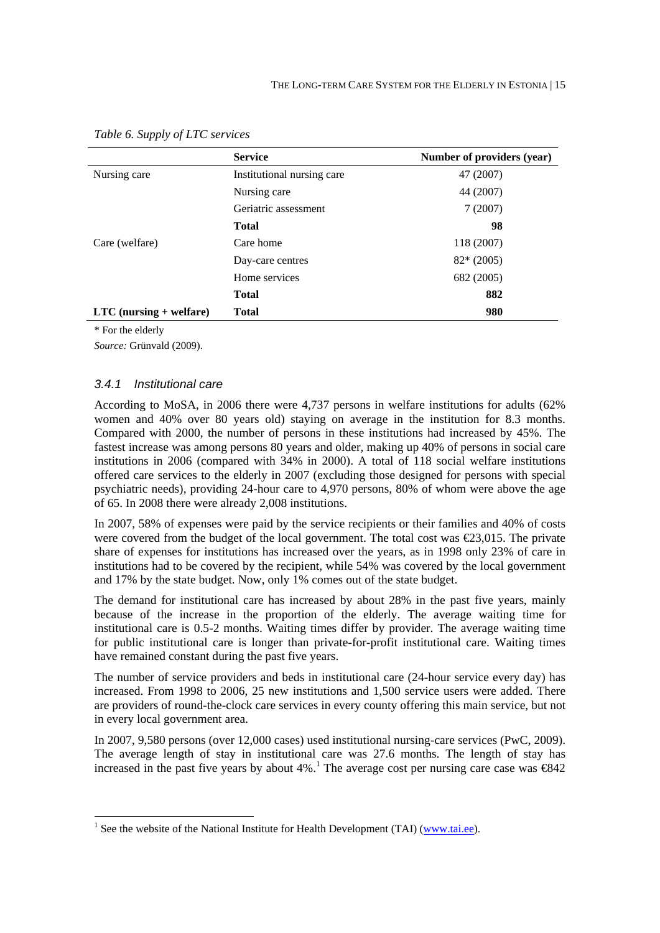|                                  | <b>Service</b>             | Number of providers (year) |
|----------------------------------|----------------------------|----------------------------|
| Nursing care                     | Institutional nursing care | 47 (2007)                  |
|                                  | Nursing care               | 44 (2007)                  |
|                                  | Geriatric assessment       | 7(2007)                    |
|                                  | <b>Total</b>               | 98                         |
| Care (welfare)                   | Care home                  | 118 (2007)                 |
|                                  | Day-care centres           | $82*(2005)$                |
|                                  | Home services              | 682 (2005)                 |
|                                  | <b>Total</b>               | 882                        |
| $\text{LTC}$ (nursing + welfare) | <b>Total</b>               | 980                        |

*Table 6. Supply of LTC services* 

\* For the elderly

1

*Source:* Grünvald (2009).

#### *3.4.1 Institutional care*

According to MoSA, in 2006 there were 4,737 persons in welfare institutions for adults (62% women and 40% over 80 years old) staying on average in the institution for 8.3 months. Compared with 2000, the number of persons in these institutions had increased by 45%. The fastest increase was among persons 80 years and older, making up 40% of persons in social care institutions in 2006 (compared with 34% in 2000). A total of 118 social welfare institutions offered care services to the elderly in 2007 (excluding those designed for persons with special psychiatric needs), providing 24-hour care to 4,970 persons, 80% of whom were above the age of 65. In 2008 there were already 2,008 institutions.

In 2007, 58% of expenses were paid by the service recipients or their families and 40% of costs were covered from the budget of the local government. The total cost was  $\epsilon$ 23,015. The private share of expenses for institutions has increased over the years, as in 1998 only 23% of care in institutions had to be covered by the recipient, while 54% was covered by the local government and 17% by the state budget. Now, only 1% comes out of the state budget.

The demand for institutional care has increased by about 28% in the past five years, mainly because of the increase in the proportion of the elderly. The average waiting time for institutional care is 0.5-2 months. Waiting times differ by provider. The average waiting time for public institutional care is longer than private-for-profit institutional care. Waiting times have remained constant during the past five years.

The number of service providers and beds in institutional care (24-hour service every day) has increased. From 1998 to 2006, 25 new institutions and 1,500 service users were added. There are providers of round-the-clock care services in every county offering this main service, but not in every local government area.

In 2007, 9,580 persons (over 12,000 cases) used institutional nursing-care services (PwC, 2009). The average length of stay in institutional care was 27.6 months. The length of stay has increased in the past five years by about  $4\%$ .<sup>1</sup> The average cost per nursing care case was  $6842$ 

<sup>&</sup>lt;sup>1</sup> See the website of the National Institute for Health Development (TAI) ( $\frac{www.tai.ee}{}$ ).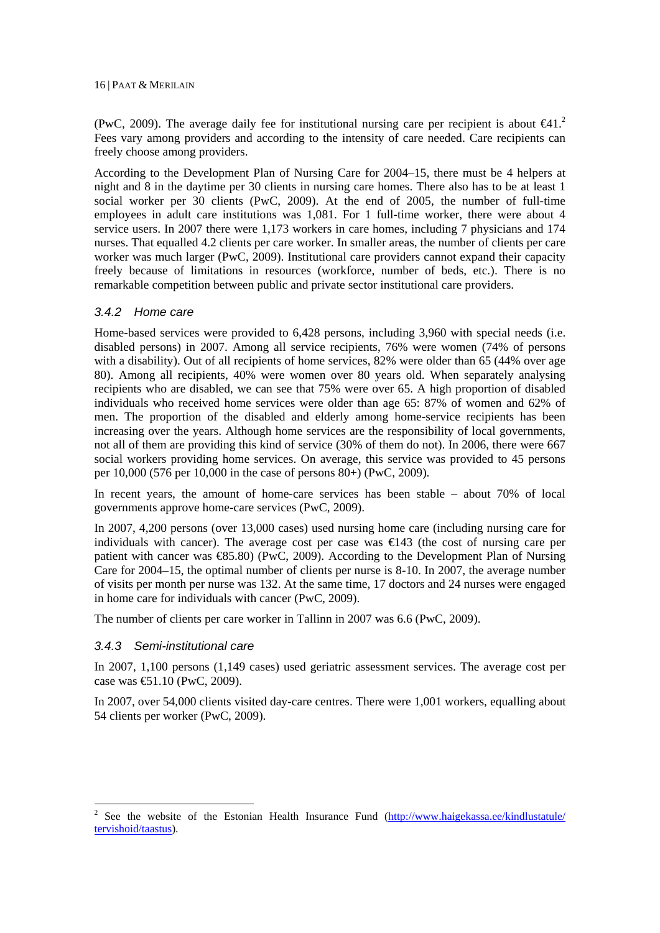(PwC, 2009). The average daily fee for institutional nursing care per recipient is about  $\epsilon 41$ . Fees vary among providers and according to the intensity of care needed. Care recipients can freely choose among providers.

According to the Development Plan of Nursing Care for 2004–15, there must be 4 helpers at night and 8 in the daytime per 30 clients in nursing care homes. There also has to be at least 1 social worker per 30 clients (PwC, 2009). At the end of 2005, the number of full-time employees in adult care institutions was 1,081. For 1 full-time worker, there were about 4 service users. In 2007 there were 1,173 workers in care homes, including 7 physicians and 174 nurses. That equalled 4.2 clients per care worker. In smaller areas, the number of clients per care worker was much larger (PwC, 2009). Institutional care providers cannot expand their capacity freely because of limitations in resources (workforce, number of beds, etc.). There is no remarkable competition between public and private sector institutional care providers.

#### *3.4.2 Home care*

Home-based services were provided to 6,428 persons, including 3,960 with special needs (i.e. disabled persons) in 2007. Among all service recipients, 76% were women (74% of persons with a disability). Out of all recipients of home services, 82% were older than 65 (44% over age 80). Among all recipients, 40% were women over 80 years old. When separately analysing recipients who are disabled, we can see that 75% were over 65. A high proportion of disabled individuals who received home services were older than age 65: 87% of women and 62% of men. The proportion of the disabled and elderly among home-service recipients has been increasing over the years. Although home services are the responsibility of local governments, not all of them are providing this kind of service (30% of them do not). In 2006, there were 667 social workers providing home services. On average, this service was provided to 45 persons per 10,000 (576 per 10,000 in the case of persons 80+) (PwC, 2009).

In recent years, the amount of home-care services has been stable – about 70% of local governments approve home-care services (PwC, 2009).

In 2007, 4,200 persons (over 13,000 cases) used nursing home care (including nursing care for individuals with cancer). The average cost per case was €143 (the cost of nursing care per patient with cancer was €85.80) (PwC, 2009). According to the Development Plan of Nursing Care for 2004–15, the optimal number of clients per nurse is 8-10. In 2007, the average number of visits per month per nurse was 132. At the same time, 17 doctors and 24 nurses were engaged in home care for individuals with cancer (PwC, 2009).

The number of clients per care worker in Tallinn in 2007 was 6.6 (PwC, 2009).

#### *3.4.3 Semi-institutional care*

1

In 2007, 1,100 persons (1,149 cases) used geriatric assessment services. The average cost per case was  $€1.10$  (PwC, 2009).

In 2007, over 54,000 clients visited day-care centres. There were 1,001 workers, equalling about 54 clients per worker (PwC, 2009).

<sup>2</sup> See the website of the Estonian Health Insurance Fund (http://www.haigekassa.ee/kindlustatule/ tervishoid/taastus).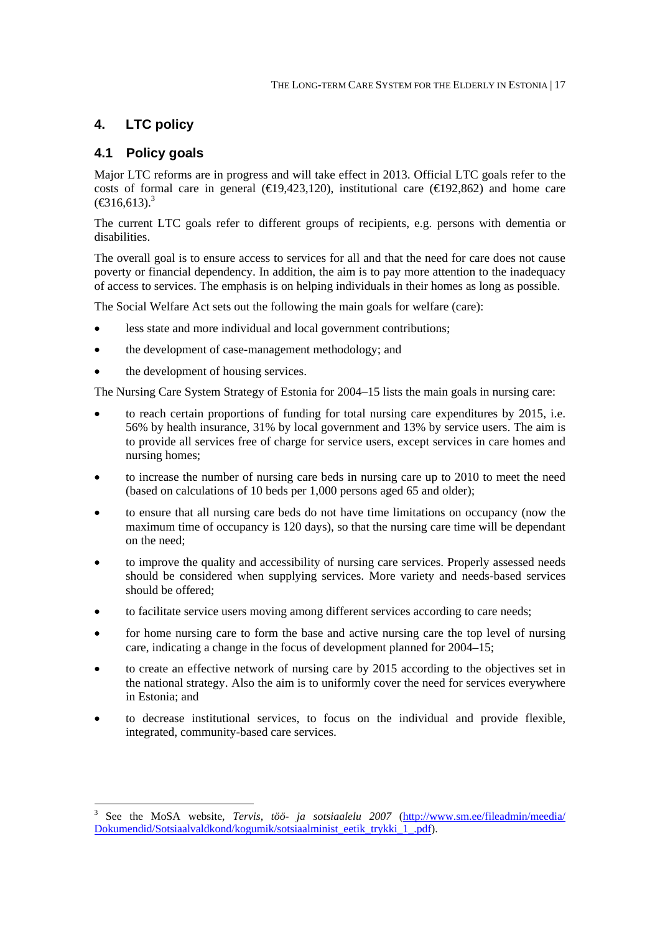## **4. LTC policy**

## **4.1 Policy goals**

1

Major LTC reforms are in progress and will take effect in 2013. Official LTC goals refer to the costs of formal care in general ( $\in$ 19,423,120), institutional care ( $\in$ 192,862) and home care  $(\text{\textsterling}316,613).$ <sup>3</sup>

The current LTC goals refer to different groups of recipients, e.g. persons with dementia or disabilities.

The overall goal is to ensure access to services for all and that the need for care does not cause poverty or financial dependency. In addition, the aim is to pay more attention to the inadequacy of access to services. The emphasis is on helping individuals in their homes as long as possible.

The Social Welfare Act sets out the following the main goals for welfare (care):

- less state and more individual and local government contributions;
- the development of case-management methodology; and
- the development of housing services.

The Nursing Care System Strategy of Estonia for 2004–15 lists the main goals in nursing care:

- to reach certain proportions of funding for total nursing care expenditures by 2015, i.e. 56% by health insurance, 31% by local government and 13% by service users. The aim is to provide all services free of charge for service users, except services in care homes and nursing homes;
- to increase the number of nursing care beds in nursing care up to 2010 to meet the need (based on calculations of 10 beds per 1,000 persons aged 65 and older);
- to ensure that all nursing care beds do not have time limitations on occupancy (now the maximum time of occupancy is 120 days), so that the nursing care time will be dependant on the need;
- to improve the quality and accessibility of nursing care services. Properly assessed needs should be considered when supplying services. More variety and needs-based services should be offered;
- to facilitate service users moving among different services according to care needs;
- for home nursing care to form the base and active nursing care the top level of nursing care, indicating a change in the focus of development planned for 2004–15;
- to create an effective network of nursing care by 2015 according to the objectives set in the national strategy. Also the aim is to uniformly cover the need for services everywhere in Estonia; and
- to decrease institutional services, to focus on the individual and provide flexible, integrated, community-based care services.

<sup>3</sup> See the MoSA website, *Tervis, töö- ja sotsiaalelu 2007* (http://www.sm.ee/fileadmin/meedia/ Dokumendid/Sotsiaalvaldkond/kogumik/sotsiaalminist\_eetik\_trykki\_1\_.pdf).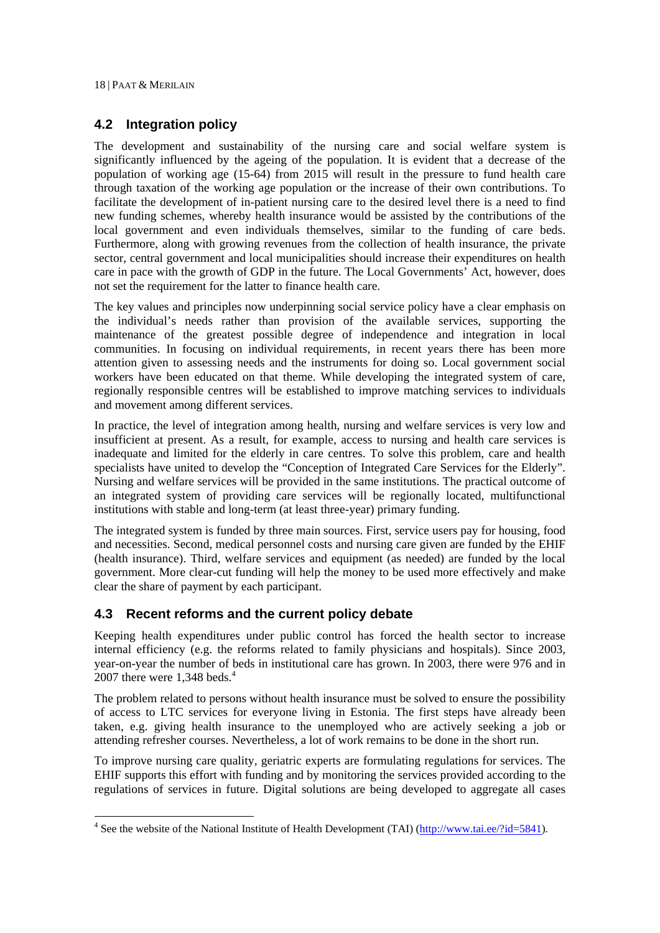1

## **4.2 Integration policy**

The development and sustainability of the nursing care and social welfare system is significantly influenced by the ageing of the population. It is evident that a decrease of the population of working age (15-64) from 2015 will result in the pressure to fund health care through taxation of the working age population or the increase of their own contributions. To facilitate the development of in-patient nursing care to the desired level there is a need to find new funding schemes, whereby health insurance would be assisted by the contributions of the local government and even individuals themselves, similar to the funding of care beds. Furthermore, along with growing revenues from the collection of health insurance, the private sector, central government and local municipalities should increase their expenditures on health care in pace with the growth of GDP in the future. The Local Governments' Act, however, does not set the requirement for the latter to finance health care.

The key values and principles now underpinning social service policy have a clear emphasis on the individual's needs rather than provision of the available services, supporting the maintenance of the greatest possible degree of independence and integration in local communities. In focusing on individual requirements, in recent years there has been more attention given to assessing needs and the instruments for doing so. Local government social workers have been educated on that theme. While developing the integrated system of care, regionally responsible centres will be established to improve matching services to individuals and movement among different services.

In practice, the level of integration among health, nursing and welfare services is very low and insufficient at present. As a result, for example, access to nursing and health care services is inadequate and limited for the elderly in care centres. To solve this problem, care and health specialists have united to develop the "Conception of Integrated Care Services for the Elderly". Nursing and welfare services will be provided in the same institutions. The practical outcome of an integrated system of providing care services will be regionally located, multifunctional institutions with stable and long-term (at least three-year) primary funding.

The integrated system is funded by three main sources. First, service users pay for housing, food and necessities. Second, medical personnel costs and nursing care given are funded by the EHIF (health insurance). Third, welfare services and equipment (as needed) are funded by the local government. More clear-cut funding will help the money to be used more effectively and make clear the share of payment by each participant.

## **4.3 Recent reforms and the current policy debate**

Keeping health expenditures under public control has forced the health sector to increase internal efficiency (e.g. the reforms related to family physicians and hospitals). Since 2003, year-on-year the number of beds in institutional care has grown. In 2003, there were 976 and in 2007 there were  $1,348$  beds.<sup>4</sup>

The problem related to persons without health insurance must be solved to ensure the possibility of access to LTC services for everyone living in Estonia. The first steps have already been taken, e.g. giving health insurance to the unemployed who are actively seeking a job or attending refresher courses. Nevertheless, a lot of work remains to be done in the short run.

To improve nursing care quality, geriatric experts are formulating regulations for services. The EHIF supports this effort with funding and by monitoring the services provided according to the regulations of services in future. Digital solutions are being developed to aggregate all cases

<sup>&</sup>lt;sup>4</sup> See the website of the National Institute of Health Development (TAI) ( $\frac{http://www.tai.ee/?id=5841)}{http://www.tai.ee/?id=5841)}$ .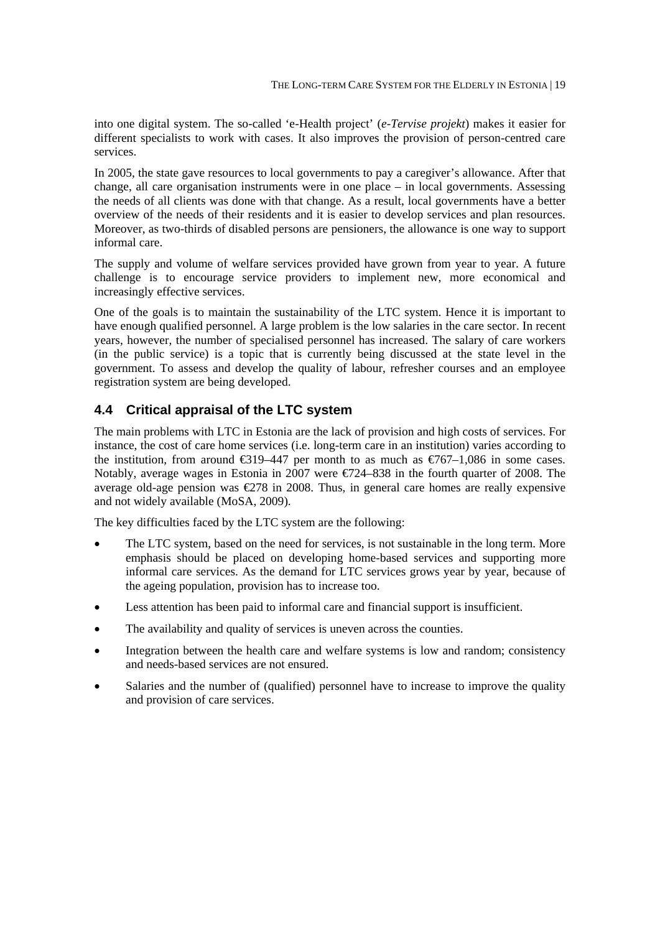into one digital system. The so-called 'e-Health project' (*e-Tervise projekt*) makes it easier for different specialists to work with cases. It also improves the provision of person-centred care services.

In 2005, the state gave resources to local governments to pay a caregiver's allowance. After that change, all care organisation instruments were in one place – in local governments. Assessing the needs of all clients was done with that change. As a result, local governments have a better overview of the needs of their residents and it is easier to develop services and plan resources. Moreover, as two-thirds of disabled persons are pensioners, the allowance is one way to support informal care.

The supply and volume of welfare services provided have grown from year to year. A future challenge is to encourage service providers to implement new, more economical and increasingly effective services.

One of the goals is to maintain the sustainability of the LTC system. Hence it is important to have enough qualified personnel. A large problem is the low salaries in the care sector. In recent years, however, the number of specialised personnel has increased. The salary of care workers (in the public service) is a topic that is currently being discussed at the state level in the government. To assess and develop the quality of labour, refresher courses and an employee registration system are being developed.

## **4.4 Critical appraisal of the LTC system**

The main problems with LTC in Estonia are the lack of provision and high costs of services. For instance, the cost of care home services (i.e. long-term care in an institution) varies according to the institution, from around  $\epsilon$ 319–447 per month to as much as  $\epsilon$ 767–1,086 in some cases. Notably, average wages in Estonia in 2007 were €724–838 in the fourth quarter of 2008. The average old-age pension was  $\epsilon$ 278 in 2008. Thus, in general care homes are really expensive and not widely available (MoSA, 2009).

The key difficulties faced by the LTC system are the following:

- The LTC system, based on the need for services, is not sustainable in the long term. More emphasis should be placed on developing home-based services and supporting more informal care services. As the demand for LTC services grows year by year, because of the ageing population, provision has to increase too.
- Less attention has been paid to informal care and financial support is insufficient.
- The availability and quality of services is uneven across the counties.
- Integration between the health care and welfare systems is low and random; consistency and needs-based services are not ensured.
- Salaries and the number of (qualified) personnel have to increase to improve the quality and provision of care services.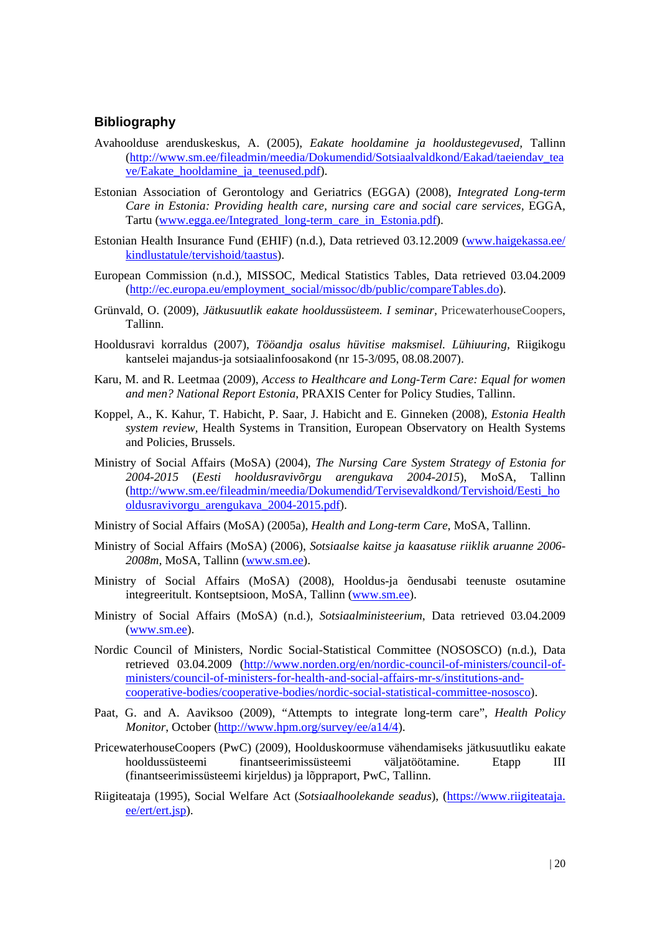#### **Bibliography**

- Avahoolduse arenduskeskus, A. (2005), *Eakate hooldamine ja hooldustegevused,* Tallinn (http://www.sm.ee/fileadmin/meedia/Dokumendid/Sotsiaalvaldkond/Eakad/taeiendav\_tea ve/Eakate\_hooldamine\_ja\_teenused.pdf).
- Estonian Association of Gerontology and Geriatrics (EGGA) (2008), *Integrated Long-term Care in Estonia: Providing health care, nursing care and social care services,* EGGA, Tartu (www.egga.ee/Integrated\_long-term\_care\_in\_Estonia.pdf).
- Estonian Health Insurance Fund (EHIF) (n.d.), Data retrieved 03.12.2009 (www.haigekassa.ee/ kindlustatule/tervishoid/taastus).
- European Commission (n.d.), MISSOC, Medical Statistics Tables, Data retrieved 03.04.2009 (http://ec.europa.eu/employment\_social/missoc/db/public/compareTables.do).
- Grünvald, O. (2009), *Jätkusuutlik eakate hooldussüsteem. I seminar,* PricewaterhouseCoopers, Tallinn.
- Hooldusravi korraldus (2007), *Tööandja osalus hüvitise maksmisel. Lühiuuring,* Riigikogu kantselei majandus-ja sotsiaalinfoosakond (nr 15-3/095, 08.08.2007).
- Karu, M. and R. Leetmaa (2009), *Access to Healthcare and Long-Term Care: Equal for women and men? National Report Estonia*, PRAXIS Center for Policy Studies, Tallinn.
- Koppel, A., K. Kahur, T. Habicht, P. Saar, J. Habicht and E. Ginneken (2008), *Estonia Health system review,* Health Systems in Transition, European Observatory on Health Systems and Policies, Brussels.
- Ministry of Social Affairs (MoSA) (2004), *The Nursing Care System Strategy of Estonia for 2004-2015* (*Eesti hooldusravivõrgu arengukava 2004-2015*), MoSA, Tallinn (http://www.sm.ee/fileadmin/meedia/Dokumendid/Tervisevaldkond/Tervishoid/Eesti\_ho oldusravivorgu\_arengukava\_2004-2015.pdf).
- Ministry of Social Affairs (MoSA) (2005a), *Health and Long-term Care*, MoSA, Tallinn.
- Ministry of Social Affairs (MoSA) (2006), *Sotsiaalse kaitse ja kaasatuse riiklik aruanne 2006- 2008m,* MoSA, Tallinn (www.sm.ee).
- Ministry of Social Affairs (MoSA) (2008), Hooldus-ja õendusabi teenuste osutamine integreeritult. Kontseptsioon, MoSA, Tallinn (www.sm.ee).
- Ministry of Social Affairs (MoSA) (n.d.), *Sotsiaalministeerium*, Data retrieved 03.04.2009 (www.sm.ee).
- Nordic Council of Ministers, Nordic Social-Statistical Committee (NOSOSCO) (n.d.), Data retrieved 03.04.2009 (http://www.norden.org/en/nordic-council-of-ministers/council-ofministers/council-of-ministers-for-health-and-social-affairs-mr-s/institutions-andcooperative-bodies/cooperative-bodies/nordic-social-statistical-committee-nososco).
- Paat, G. and A. Aaviksoo (2009), "Attempts to integrate long-term care", *Health Policy Monitor*, October (http://www.hpm.org/survey/ee/a14/4).
- PricewaterhouseCoopers (PwC) (2009), Hoolduskoormuse vähendamiseks jätkusuutliku eakate hooldussüsteemi finantseerimissüsteemi väljatöötamine. Etapp III (finantseerimissüsteemi kirjeldus) ja lõppraport, PwC, Tallinn.
- Riigiteataja (1995), Social Welfare Act (*Sotsiaalhoolekande seadus*), (https://www.riigiteataja. ee/ert/ert.jsp).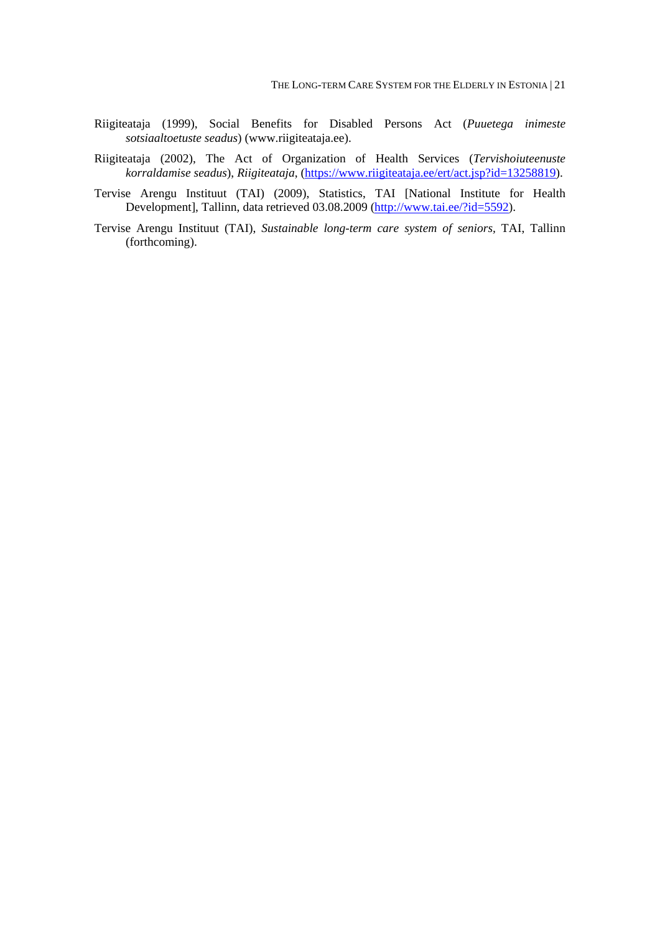- Riigiteataja (1999), Social Benefits for Disabled Persons Act (*Puuetega inimeste sotsiaaltoetuste seadus*) (www.riigiteataja.ee).
- Riigiteataja (2002), The Act of Organization of Health Services (*Tervishoiuteenuste korraldamise seadus*), *Riigiteataja*, (https://www.riigiteataja.ee/ert/act.jsp?id=13258819).
- Tervise Arengu Instituut (TAI) (2009), Statistics, TAI [National Institute for Health Development], Tallinn, data retrieved 03.08.2009 (http://www.tai.ee/?id=5592).
- Tervise Arengu Instituut (TAI), *Sustainable long-term care system of seniors,* TAI, Tallinn (forthcoming).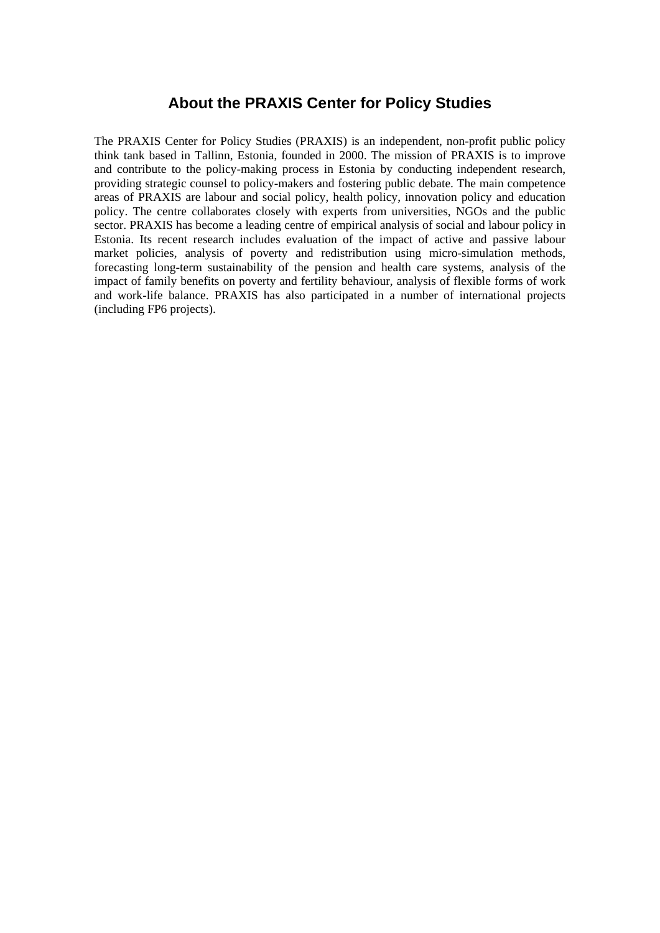## **About the PRAXIS Center for Policy Studies**

The PRAXIS Center for Policy Studies (PRAXIS) is an independent, non-profit public policy think tank based in Tallinn, Estonia, founded in 2000. The mission of PRAXIS is to improve and contribute to the policy-making process in Estonia by conducting independent research, providing strategic counsel to policy-makers and fostering public debate. The main competence areas of PRAXIS are labour and social policy, health policy, innovation policy and education policy. The centre collaborates closely with experts from universities, NGOs and the public sector. PRAXIS has become a leading centre of empirical analysis of social and labour policy in Estonia. Its recent research includes evaluation of the impact of active and passive labour market policies, analysis of poverty and redistribution using micro-simulation methods, forecasting long-term sustainability of the pension and health care systems, analysis of the impact of family benefits on poverty and fertility behaviour, analysis of flexible forms of work and work-life balance. PRAXIS has also participated in a number of international projects (including FP6 projects).